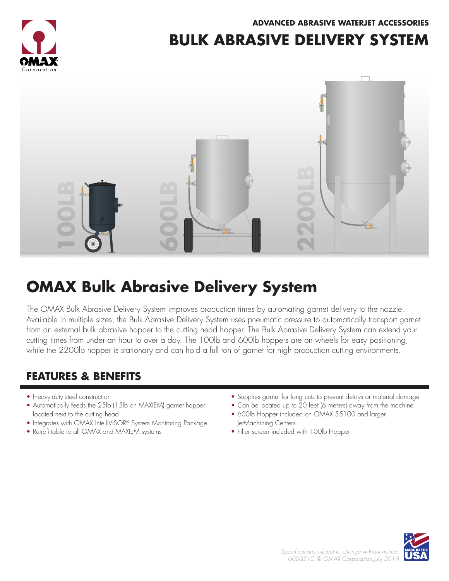**ADVANCED ABRASIVE WATERJET ACCESSORIES**



### **BULK ABRASIVE DELIVERY SYSTEM**



# **OMAX Bulk Abrasive Delivery System**

The OMAX Bulk Abrasive Delivery System improves production times by automating garnet delivery to the nozzle. Available in multiple sizes, the Bulk Abrasive Delivery System uses pneumatic pressure to automatically transport garnet from an external bulk abrasive hopper to the cutting head hopper. The Bulk Abrasive Delivery System can extend your cutting times from under an hour to over a day. The 100lb and 600lb hoppers are on wheels for easy positioning, while the 2200lb hopper is stationary and can hold a full ton of garnet for high production cutting environments.

### **FEATURES & BENEFITS**

- Heavy-duty steel construction
- Automatically feeds the 25lb (15lb on MAXIEM) garnet hopper located next to the cutting head
- Integrates with OMAX IntelliVISOR® System Monitoring Package
- Retrofittable to all OMAX and MAXIEM systems
- Supplies garnet for long cuts to prevent delays or material damage
- Can be located up to 20 feet (6 meters) away from the machine
- 600lb Hopper included on OMAX 55100 and larger JetMachining Centers
- Filter screen included with 100lb Hopper